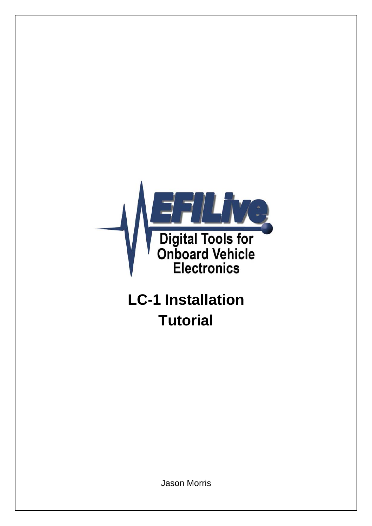

# **LC-1 Installation Tutorial**

Jason Morris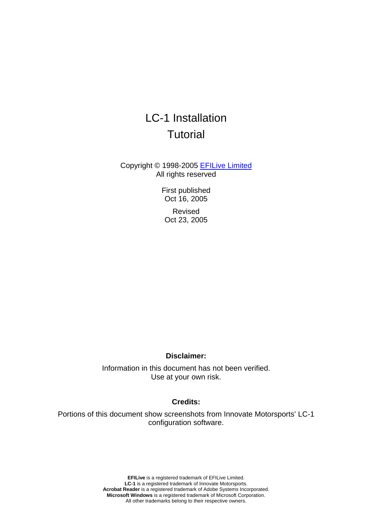## LC-1 Installation **Tutorial**

Copyright © 1998-2005 [EFILive Limited](http://www.efilive.com/) All rights reserved

> First published Oct 16, 2005

Revised Oct 23, 2005

#### **Disclaimer:**

Information in this document has not been verified. Use at your own risk.

#### **Credits:**

Portions of this document show screenshots from Innovate Motorsports' LC-1 configuration software.

> **EFILive** is a registered trademark of EFILive Limited. **LC-1** is a registered trademark of Innovate Motorsports. **Acrobat Reader** is a registered trademark of Adobe Systems Incorporated. **Microsoft Windows** is a registered trademark of Microsoft Corporation. All other trademarks belong to their respective owners.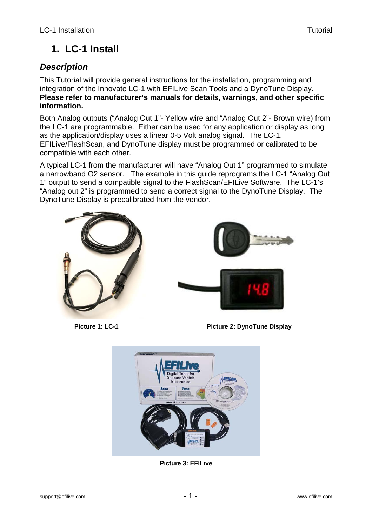## **1. LC-1 Install**

## *Description*

This Tutorial will provide general instructions for the installation, programming and integration of the Innovate LC-1 with EFILive Scan Tools and a DynoTune Display. **Please refer to manufacturer's manuals for details, warnings, and other specific information.**

Both Analog outputs ("Analog Out 1"- Yellow wire and "Analog Out 2"- Brown wire) from the LC-1 are programmable. Either can be used for any application or display as long as the application/display uses a linear 0-5 Volt analog signal. The LC-1, EFILive/FlashScan, and DynoTune display must be programmed or calibrated to be compatible with each other.

A typical LC-1 from the manufacturer will have "Analog Out 1" programmed to simulate a narrowband O2 sensor. The example in this guide reprograms the LC-1 "Analog Out 1" output to send a compatible signal to the FlashScan/EFILive Software. The LC-1's "Analog out 2" is programmed to send a correct signal to the DynoTune Display. The DynoTune Display is precalibrated from the vendor.





**Picture 1: LC-1 Picture 2: DynoTune Display**



**Picture 3: EFILive**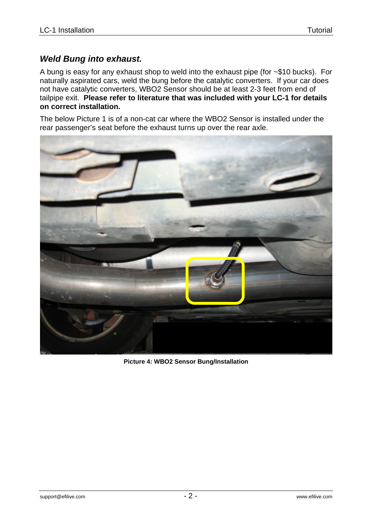## *Weld Bung into exhaust.*

A bung is easy for any exhaust shop to weld into the exhaust pipe (for ~\$10 bucks). For naturally aspirated cars, weld the bung before the catalytic converters. If your car does not have catalytic converters, WBO2 Sensor should be at least 2-3 feet from end of tailpipe exit. **Please refer to literature that was included with your LC-1 for details on correct installation.**

The below Picture 1 is of a non-cat car where the WBO2 Sensor is installed under the rear passenger's seat before the exhaust turns up over the rear axle.



**Picture 4: WBO2 Sensor Bung/Installation**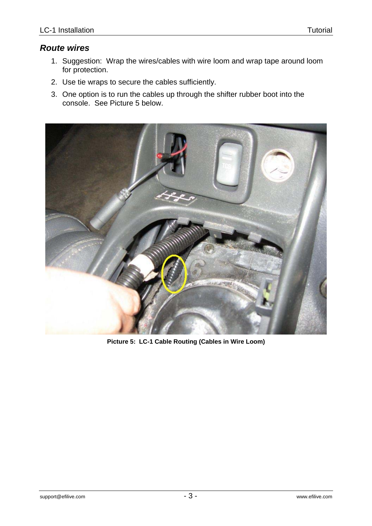## *Route wires*

- 1. Suggestion: Wrap the wires/cables with wire loom and wrap tape around loom for protection.
- 2. Use tie wraps to secure the cables sufficiently.
- 3. One option is to run the cables up through the shifter rubber boot into the console. See Picture 5 below.



**Picture 5: LC-1 Cable Routing (Cables in Wire Loom)**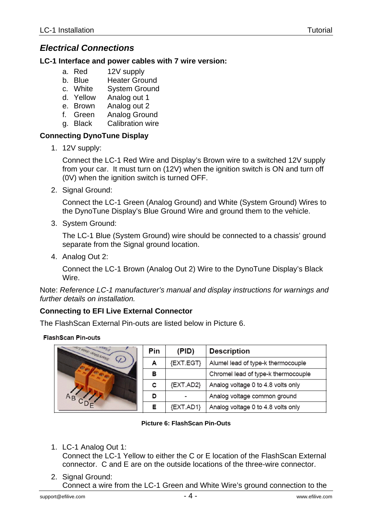## *Electrical Connections*

#### **LC-1 Interface and power cables with 7 wire version:**

- a. Red 12V supply
- b. Blue Heater Ground
- c. White System Ground
- d. Yellow Analog out 1
- e. Brown Analog out 2
- f. Green Analog Ground
- g. Black Calibration wire

#### **Connecting DynoTune Display**

1. 12V supply:

Connect the LC-1 Red Wire and Display's Brown wire to a switched 12V supply from your car. It must turn on (12V) when the ignition switch is ON and turn off (0V) when the ignition switch is turned OFF.

2. Signal Ground:

Connect the LC-1 Green (Analog Ground) and White (System Ground) Wires to the DynoTune Display's Blue Ground Wire and ground them to the vehicle.

3. System Ground:

The LC-1 Blue (System Ground) wire should be connected to a chassis' ground separate from the Signal ground location.

4. Analog Out 2:

Connect the LC-1 Brown (Analog Out 2) Wire to the DynoTune Display's Black Wire.

Note: *Reference LC-1 manufacturer's manual and display instructions for warnings and further details on installation.*

#### **Connecting to EFI Live External Connector**

The FlashScan External Pin-outs are listed below in Picture 6.

#### **FlashScan Pin-outs**



|               | Pin | (PID)         | <b>Description</b>                  |  |  |  |  |  |  |  |
|---------------|-----|---------------|-------------------------------------|--|--|--|--|--|--|--|
| $\mathcal{L}$ | А   | {EXT.EGT}     | Alumel lead of type-k thermocouple  |  |  |  |  |  |  |  |
|               | в   |               | Chromel lead of type-k thermocouple |  |  |  |  |  |  |  |
|               | с   | {EXT.AD2}     | Analog voltage 0 to 4.8 volts only  |  |  |  |  |  |  |  |
|               | D   |               | Analog voltage common ground        |  |  |  |  |  |  |  |
|               | Е   | $\{EXT.AD1\}$ | Analog voltage 0 to 4.8 volts only  |  |  |  |  |  |  |  |

#### **Picture 6: FlashScan Pin-Outs**

1. LC-1 Analog Out 1:

Connect the LC-1 Yellow to either the C or E location of the FlashScan External connector. C and E are on the outside locations of the three-wire connector.

2. Signal Ground: Connect a wire from the LC-1 Green and White Wire's ground connection to the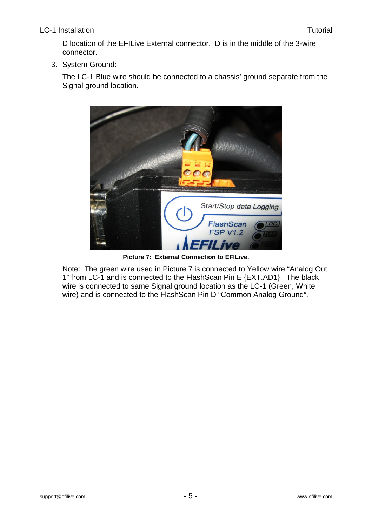D location of the EFILive External connector. D is in the middle of the 3-wire connector.

3. System Ground:

The LC-1 Blue wire should be connected to a chassis' ground separate from the Signal ground location.



**Picture 7: External Connection to EFILive.** 

Note: The green wire used in Picture 7 is connected to Yellow wire "Analog Out 1" from LC-1 and is connected to the FlashScan Pin E {EXT.AD1}. The black wire is connected to same Signal ground location as the LC-1 (Green, White wire) and is connected to the FlashScan Pin D "Common Analog Ground".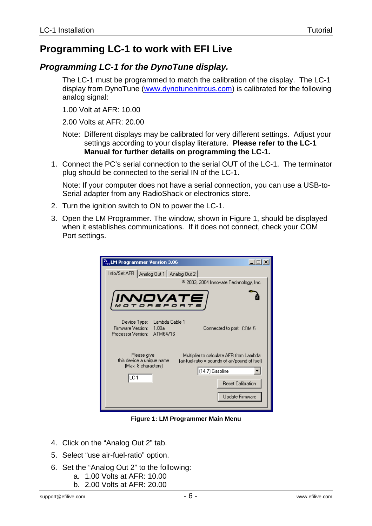## **Programming LC-1 to work with EFI Live**

## *Programming LC-1 for the DynoTune display.*

The LC-1 must be programmed to match the calibration of the display. The LC-1 display from DynoTune [\(www.dynotunenitrous.com](http://www.dynotunenitrous.com/)) is calibrated for the following analog signal:

1.00 Volt at AFR: 10.00

2.00 Volts at AFR: 20.00

Note: Different displays may be calibrated for very different settings. Adjust your settings according to your display literature. **Please refer to the LC-1 Manual for further details on programming the LC-1.** 

1. Connect the PC's serial connection to the serial OUT of the LC-1. The terminator plug should be connected to the serial IN of the LC-1.

Note: If your computer does not have a serial connection, you can use a USB-to-Serial adapter from any RadioShack or electronics store.

- 2. Turn the ignition switch to ON to power the LC-1.
- 3. Open the LM Programmer. The window, shown in Figure 1, should be displayed when it establishes communications. If it does not connect, check your COM Port settings.

| $\frac{N}{100}$ LM Programmer Version 3.06                                                                                                                                                                                              |
|-----------------------------------------------------------------------------------------------------------------------------------------------------------------------------------------------------------------------------------------|
| Info/Set AFR   Analog Out 1   Analog Out 2  <br>@ 2003, 2004 Innovate Technology, Inc.                                                                                                                                                  |
| INNOVATE                                                                                                                                                                                                                                |
| Device Type: Lambda Cable 1<br>Firmware Version: 1.00a<br>Connected to port: COM 5<br>Processor Version: ATM64/16                                                                                                                       |
| Please give<br>Multiplier to calculate AFR from Lambda:<br>this device a unique name<br>(air-fuel-ratio = pounds of air/pound of fuel)<br>(Max. 8 characters)<br>(14.7) Gasoline<br>LC-1<br><b>Reset Calibration</b><br>Update Firmware |

**Figure 1: LM Programmer Main Menu** 

- 4. Click on the "Analog Out 2" tab.
- 5. Select "use air-fuel-ratio" option.
- 6. Set the "Analog Out 2" to the following:
	- a. 1.00 Volts at AFR: 10.00
	- b. 2.00 Volts at AFR: 20.00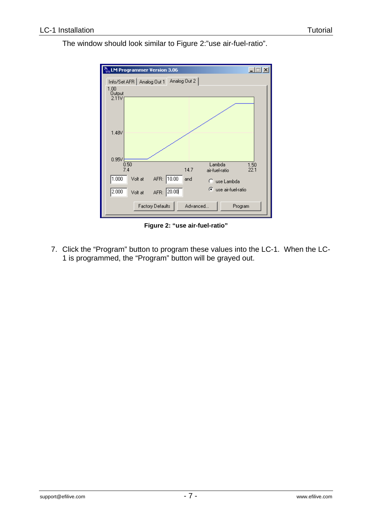

The window should look similar to Figure 2:"use air-fuel-ratio".

**Figure 2: "use air-fuel-ratio"** 

7. Click the "Program" button to program these values into the LC-1. When the LC-1 is programmed, the "Program" button will be grayed out.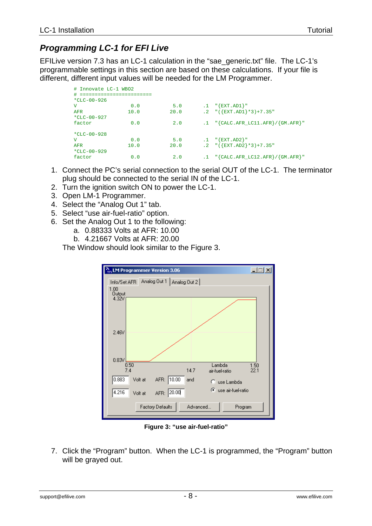## *Programming LC-1 for EFI Live*

EFILive version 7.3 has an LC-1 calculation in the "sae\_generic.txt" file. The LC-1's programmable settings in this section are based on these calculations. If your file is different, different input values will be needed for the LM Programmer.

| # Innovate LC-1 WBO2 |      |      |           |                                                      |
|----------------------|------|------|-----------|------------------------------------------------------|
| #                    |      |      |           |                                                      |
| $*CLC-00-926$        |      |      |           |                                                      |
| v                    | 0.0  | 5.0  |           | $.1$ "{EXT.AD1}"                                     |
| AFR                  | 10.0 | 20.0 |           | $.2$ "( $\{EXT.AD1\}$ *3)+7.35"                      |
| $*CLC-00-927$        |      |      |           |                                                      |
| factor               | 0.0  | 2.0  |           | $.1$ " $\{CALC. AFR\_LC11. AFR\}$ / $\{ GM. AFR\}$ " |
| $*CLC-00-928$        |      |      |           |                                                      |
| v                    | 0.0  | 5.0  |           | $.1$ "{EXT.AD2}"                                     |
| AFR                  | 10.0 | 20.0 |           | .2 $\sqrt{(EXT. AD2} \times 3) + 7.35$               |
| *CLC-00-929          |      |      |           |                                                      |
| factor               | 0.0  | 2.0  | $\cdot$ 1 | $"\{CALC.AFR\_LC12.AFR\}/\{GM.AFR\}$ "               |

- 1. Connect the PC's serial connection to the serial OUT of the LC-1. The terminator plug should be connected to the serial IN of the LC-1.
- 2. Turn the ignition switch ON to power the LC-1.
- 3. Open LM-1 Programmer.
- 4. Select the "Analog Out 1" tab.
- 5. Select "use air-fuel-ratio" option.
- 6. Set the Analog Out 1 to the following:
	- a. 0.88333 Volts at AFR: 10.00
	- b. 4.21667 Volts at AFR: 20.00

The Window should look similar to the Figure 3.



**Figure 3: "use air-fuel-ratio"** 

7. Click the "Program" button. When the LC-1 is programmed, the "Program" button will be grayed out.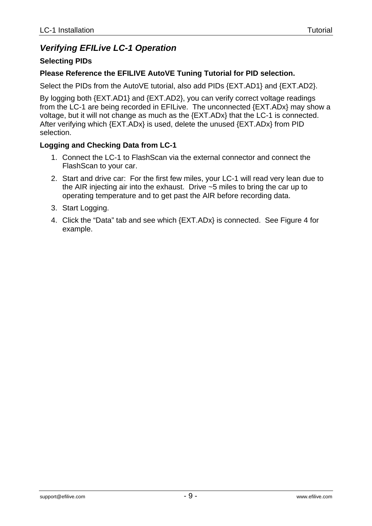## *Verifying EFILive LC-1 Operation*

## **Selecting PIDs**

### **Please Reference the EFILIVE AutoVE Tuning Tutorial for PID selection.**

Select the PIDs from the AutoVE tutorial, also add PIDs {EXT.AD1} and {EXT.AD2}.

By logging both {EXT.AD1} and {EXT.AD2}, you can verify correct voltage readings from the LC-1 are being recorded in EFILive. The unconnected {EXT.ADx} may show a voltage, but it will not change as much as the {EXT.ADx} that the LC-1 is connected. After verifying which {EXT.ADx} is used, delete the unused {EXT.ADx} from PID selection.

## **Logging and Checking Data from LC-1**

- 1. Connect the LC-1 to FlashScan via the external connector and connect the FlashScan to your car.
- 2. Start and drive car: For the first few miles, your LC-1 will read very lean due to the AIR injecting air into the exhaust. Drive ~5 miles to bring the car up to operating temperature and to get past the AIR before recording data.
- 3. Start Logging.
- 4. Click the "Data" tab and see which {EXT.ADx} is connected. See Figure 4 for example.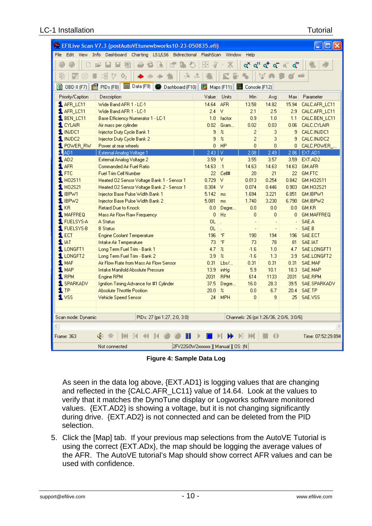#### LC-1 Installation Tutorial

| EFILive Scan V7.3 (postAutoVEtunewbworks10-23-050835.efi) |                                                                                    |                                     |                            |                                          |                            |                           |                    |  |  |  |  |  |  |
|-----------------------------------------------------------|------------------------------------------------------------------------------------|-------------------------------------|----------------------------|------------------------------------------|----------------------------|---------------------------|--------------------|--|--|--|--|--|--|
|                                                           | File Edit View Info Dashboard Charting LS1/LS6 Bidirectional FlashScan Window Help |                                     |                            |                                          |                            |                           |                    |  |  |  |  |  |  |
|                                                           |                                                                                    | 中                                   |                            |                                          | o Yo <sup>11</sup> o T @ " | $\mathbf{q}^{\text{out}}$ |                    |  |  |  |  |  |  |
|                                                           |                                                                                    |                                     |                            |                                          |                            |                           |                    |  |  |  |  |  |  |
| 礘<br>❀                                                    | 食 風<br>調<br>$\frac{2}{3}$<br>05<br>Ŵ.                                              |                                     | 昌                          |                                          | V                          |                           |                    |  |  |  |  |  |  |
| <b>图 OBD II (F7)</b><br>僧                                 | ■ Data (F9) ● Dashboard (F10) 图 Maps (F11) 图 Console (F12)<br>PIDs(F8)             |                                     |                            |                                          |                            |                           |                    |  |  |  |  |  |  |
| Priority/Caption                                          | Description                                                                        | Value                               | Units                      | Min.                                     | Avg.                       | Max I                     | Parameter          |  |  |  |  |  |  |
| 1 AFR_LC11                                                | Wide Band AFR 1 - LC-1                                                             | 14.64                               | <b>AFR</b>                 | 13.58                                    | 14.82                      | 15.94                     | CALC.AFR_LC11      |  |  |  |  |  |  |
| 1 AFR_LC11                                                | Wide Band AFR 1 - LC-1                                                             | $2.4$ V                             |                            | 2.1                                      | 2.5                        | 2.9                       | CALC.AFR_LC11      |  |  |  |  |  |  |
| <b>1</b> BEN LC11                                         | Base Efficiency Numerator 1 - LC-1                                                 | 1.0                                 | factor                     | 0.9                                      | 1.0                        | 1.1                       | CALC.BEN LC11      |  |  |  |  |  |  |
| $1$ CYLAIR                                                | Air mass per cylinder                                                              | 0.02                                | Gram                       | 0.02                                     | 0.03                       | 0.06                      | CALC.CYLAIR        |  |  |  |  |  |  |
| 1 INJDC1                                                  | Injector Duty Cycle Bank 1                                                         | 9                                   | $\boldsymbol{\mathcal{Z}}$ | $\overline{2}$                           | 3                          | 9 <sub>1</sub>            | CALC.INJDC1        |  |  |  |  |  |  |
| $1$ INJDC2                                                | Injector Duty Cycle Bank 2                                                         | 9                                   | $\boldsymbol{\mathcal{Z}}$ | 2                                        | 3                          | 9                         | CALC.INJDC2        |  |  |  |  |  |  |
| 1 POWER_RW                                                | Power at rear wheels                                                               | 0                                   | H <sub>P</sub>             | $\overline{0}$                           | $\overline{0}$             | 0                         | CALC.POWER         |  |  |  |  |  |  |
| SLAD1                                                     | External Analog Voltage 1                                                          | $2.43$ V                            |                            | 2.08 <sub>1</sub>                        | 2.49                       |                           | 2.86 EXT.AD1       |  |  |  |  |  |  |
| $1$ AD2                                                   | External Analog Voltage 2                                                          | 3.59                                | IV.                        | 3.55                                     | 3.57                       | 3.59                      | EXT.AD2            |  |  |  |  |  |  |
| $\mathbf 1$ AFR                                           | Commanded Air Fuel Ratio                                                           | 14.63                               | :1                         | 14.63                                    | 14.63                      | 14.63                     | <b>GM.AFR</b>      |  |  |  |  |  |  |
| $1$ FTC                                                   | <b>Fuel Trim Cell Number</b>                                                       | 22                                  | Cell#                      | 20                                       | 21                         | 22 <sup>1</sup>           | GM.FTC             |  |  |  |  |  |  |
| 1H02S11                                                   | Heated 02 Sensor Voltage Bank 1 - Sensor 1                                         | $0.729$ V                           |                            | 0.013                                    | 0.254                      | 0.842                     | GM.H02S11          |  |  |  |  |  |  |
| $1$ HO2S21                                                | Heated 02 Sensor Voltage Bank 2 - Sensor 1                                         | $0.304$ V                           |                            | 0.074                                    | 0.446                      | 0.903                     | GM.H02S21          |  |  |  |  |  |  |
| $1$ IBP $W1$                                              | Injector Base Pulse Width Bank 1                                                   | 5.142                               | ms                         | 1.694                                    | 3.221                      | 6.851                     | GM.IBPW1           |  |  |  |  |  |  |
| $1$ IBPW2                                                 | Injector Base Pulse Width Bank 2                                                   | 5.081                               | ms                         | 1.740                                    | 3.230                      | 6.790                     | GM.IBPW2           |  |  |  |  |  |  |
| $1$ KR                                                    | Retard Due to Knock                                                                | 0.0                                 | Degre                      | 0.0                                      | 0.0                        | 0.0                       | GM.KR              |  |  |  |  |  |  |
| 1 MAFFREQ                                                 | Mass Air Flow Raw Frequency                                                        | $\overline{0}$                      | Hz                         | $\overline{0}$                           | $\overline{0}$             | $\Omega$                  | GM.MAFFREQ         |  |  |  |  |  |  |
| <b>1</b> FUELSYS-A                                        | A Status                                                                           | <b>OL</b>                           |                            |                                          |                            |                           | SAE.A              |  |  |  |  |  |  |
| 1 FUELSYS-B                                               | <b>B</b> Status                                                                    | OL.                                 | $\ddot{\phantom{a}}$       | ÷.                                       |                            |                           | SAE.B              |  |  |  |  |  |  |
| $1$ ECT                                                   | <b>Engine Coolant Temperature</b>                                                  | 196                                 | $^\circ \textsf{F}$        | 190                                      | 194                        | 196                       | SAE.ECT            |  |  |  |  |  |  |
| $1$ IAT                                                   | Intake Air Temperature                                                             | 73                                  | $\overline{\ }$            | 73                                       | 78                         | 81                        | SAE.IAT            |  |  |  |  |  |  |
| 1 LONGFT1                                                 | Long Term Fuel Trim - Bank 1                                                       | 4.7                                 | $\boldsymbol{\mathcal{Z}}$ | $-1.6$                                   | 1.0                        | 4.7                       | SAE.LONGFT1        |  |  |  |  |  |  |
| 1 LONGFT2                                                 | Long Term Fuel Trim - Bank 2                                                       | 3.9                                 | $\boldsymbol{\mathcal{Z}}$ | $-1.6$                                   | 1.3                        | 3.9                       | SAE.LONGFT2        |  |  |  |  |  |  |
| <b>1 MAF</b>                                              | Air Flow Rate from Mass Air Flow Sensor                                            | 0.31                                | Lbs/                       | 0.31                                     | 0.31                       | 0.31                      | SAE.MAF            |  |  |  |  |  |  |
| $1$ MAP                                                   | Intake Manifold Absolute Pressure                                                  | 13.9                                | inHq                       | 5.9                                      | 10.1                       | 18.3                      | SAE.MAP            |  |  |  |  |  |  |
| $\mathbf 1$ RPM                                           | Engine RPM                                                                         | 2031                                | <b>RPM</b>                 | 614                                      | 1133                       | 2031                      | SAE.RPM            |  |  |  |  |  |  |
| 1 SPARKADV                                                | Ignition Timing Advance for #1 Cylinder                                            | 37.5                                | Degre                      | 16.0                                     | 28.3                       | 39.5                      | SAE.SPARKADV       |  |  |  |  |  |  |
| $1$ TP                                                    | <b>Absolute Throttle Position</b>                                                  | 20.0                                | $\boldsymbol{\mathcal{Z}}$ | 0.0                                      | 6.7                        | 20.4                      | SAE.TP             |  |  |  |  |  |  |
| 1 <sup>vs</sup>                                           | Vehicle Speed Sensor                                                               | 24                                  | <b>MPH</b>                 | $\Omega$                                 | 9                          | 25                        | SAE.VSS            |  |  |  |  |  |  |
|                                                           |                                                                                    |                                     |                            |                                          |                            |                           |                    |  |  |  |  |  |  |
|                                                           |                                                                                    |                                     |                            |                                          |                            |                           |                    |  |  |  |  |  |  |
| Scan mode: Dynamic                                        | PIDs: 27 (pri 1:27, 2:0, 3:0)                                                      |                                     |                            | Channels: 26 (pri 1:26/36, 2:0/6, 3:0/6) |                            |                           |                    |  |  |  |  |  |  |
|                                                           |                                                                                    |                                     |                            |                                          |                            |                           |                    |  |  |  |  |  |  |
| Frame: 363                                                | ∢⊱                                                                                 |                                     |                            | N                                        | Ð                          |                           | Time: 07:52:29.894 |  |  |  |  |  |  |
|                                                           | Not connected                                                                      | 2FV22G0W2xxxxxx ][ Manual ][ OS: (N |                            |                                          |                            |                           |                    |  |  |  |  |  |  |

**Figure 4: Sample Data Log** 

As seen in the data log above, {EXT.AD1} is logging values that are changing and reflected in the {CALC.AFR\_LC11} value of 14.64. Look at the values to verify that it matches the DynoTune display or Logworks software monitored values. {EXT.AD2} is showing a voltage, but it is not changing significantly during drive. {EXT.AD2} is not connected and can be deleted from the PID selection.

5. Click the [Map] tab. If your previous map selections from the AutoVE Tutorial is using the correct {EXT.ADx}, the map should be logging the average values of the AFR. The AutoVE tutorial's Map should show correct AFR values and can be used with confidence.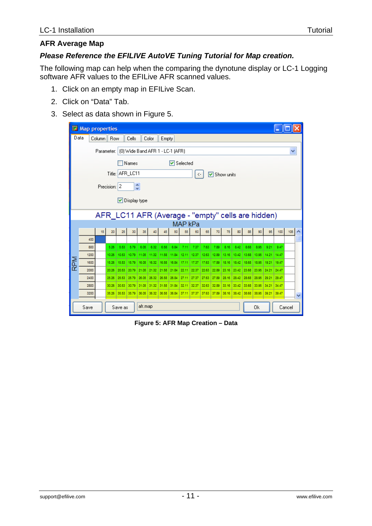## **AFR Average Map**

## *Please Reference the EFILIVE AutoVE Tuning Tutorial for Map creation.*

The following map can help when the comparing the dynotune display or LC-1 Logging software AFR values to the EFILive AFR scanned values.

- 1. Click on an empty map in EFILive Scan.
- 2. Click on "Data" Tab.
- 3. Select as data shown in Figure 5.

| 噩                                     | <b>Map properties</b>                          |    |            |         |       |                              |       |             |             |               |       |             |       |       |             |       |                                                   |             |       |        |  |
|---------------------------------------|------------------------------------------------|----|------------|---------|-------|------------------------------|-------|-------------|-------------|---------------|-------|-------------|-------|-------|-------------|-------|---------------------------------------------------|-------------|-------|--------|--|
|                                       | Data                                           |    | Column Row |         | Cells |                              | Color | Empty       |             |               |       |             |       |       |             |       |                                                   |             |       |        |  |
|                                       | (0) Wide Band AFR 1 - LC-1 (AFR)<br>Parameter: |    |            |         |       |                              |       |             |             |               |       |             |       |       |             | ٧     |                                                   |             |       |        |  |
|                                       | Names<br>$\triangledown$ Selected              |    |            |         |       |                              |       |             |             |               |       |             |       |       |             |       |                                                   |             |       |        |  |
|                                       |                                                |    |            |         |       |                              |       |             |             |               |       |             |       |       |             |       |                                                   |             |       |        |  |
| Title: AFR_LC11<br>☑ Show units<br><- |                                                |    |            |         |       |                              |       |             |             |               |       |             |       |       |             |       |                                                   |             |       |        |  |
|                                       | ٨<br>Precision: 2                              |    |            |         |       |                              |       |             |             |               |       |             |       |       |             |       |                                                   |             |       |        |  |
|                                       | v.                                             |    |            |         |       |                              |       |             |             |               |       |             |       |       |             |       |                                                   |             |       |        |  |
|                                       |                                                |    |            |         |       | $\triangledown$ Display type |       |             |             |               |       |             |       |       |             |       |                                                   |             |       |        |  |
|                                       |                                                |    |            |         |       |                              |       |             |             |               |       |             |       |       |             |       |                                                   |             |       |        |  |
|                                       |                                                |    |            |         |       |                              |       |             |             |               |       |             |       |       |             |       | AFR_LC11 AFR (Average - "empty" cells are hidden) |             |       |        |  |
|                                       |                                                | 15 | 20         | 25      | 30    | 35                           | 40    | 45          | 50          | MAP kPa<br>55 | 60    | 65          | 70    | 75    | 80          | 85    | 90                                                | 95          | 100   | 105    |  |
|                                       | 400                                            |    |            |         |       |                              |       |             |             |               |       |             |       |       |             |       |                                                   |             |       |        |  |
|                                       | 800                                            |    | 5.26       | 5.53    | 5.79  | 6.05                         | 6.32  | 6.58        | 6.84        | 7.11          | 7.37  | 7.63        | 7.89  | 8.16  | 8.42        | 8.68  | 8.95                                              | 9.21        | 9.47  |        |  |
|                                       | 1200                                           |    | 10.26      | 10.53   | 10.79 | 11.05                        | 11.32 | 11.58       | 11.84       | 12.11         | 12.37 | 12.63       | 12.89 | 13.16 | 13.42       | 13.68 | 13.95                                             | 14.21       | 14.47 |        |  |
| <b>RPM</b>                            | 1600                                           |    | 15.26      | 15.53   | 15.79 | 16.05                        | 16.32 | 16.58       | 16.84       | 17.11         | 17.37 | 17.63       | 17.89 | 18.16 | 18.42       | 18.68 | 18.95                                             | 19.21       | 19.47 |        |  |
|                                       | 2000                                           |    | 20.26      | 20.53   | 20.79 | 21.05                        | 21.32 | 21.58       | 21.84       | 22.11         | 22.37 | 22.63       | 22.89 | 23.16 | 23.42       | 23.68 | 23.95                                             | 24.21 24.47 |       |        |  |
|                                       | 2400                                           |    | 25.26      | 25.53   | 25.79 | 26.05                        | 26.32 | 26.58       | 26.84       | 27.11         | 27.37 | 27.63       | 27.89 | 28.16 | 28.42       | 28.68 | 28.95                                             | 29.21       | 29.47 |        |  |
|                                       | 2800                                           |    | 30.26      | 30.53   | 30.79 | 31.05                        | 31.32 | 31.58       | 31.84       | 32.11         | 32.37 | 32.63       | 32.89 | 33.16 | 33.42       | 33.68 | 33.95                                             | 34.21       | 34.47 |        |  |
|                                       | 3200                                           |    | 35.26      | 35.53   | 35.79 | 36.05                        |       | 36.32 36.58 | 36.84 37.11 |               | 37.37 | 37.63 37.89 |       | 38.16 | 38.42 38.68 |       | 38.95                                             | 39.21       | 39.47 |        |  |
|                                       | Save                                           |    |            | Save as |       | afr.map                      |       |             |             |               |       |             |       |       |             | 0k    |                                                   |             |       | Cancel |  |

**Figure 5: AFR Map Creation – Data**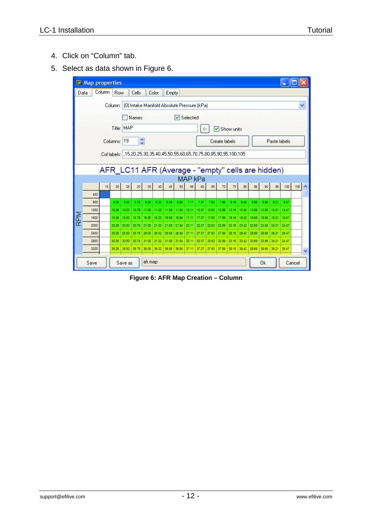- 4. Click on "Column" tab.
- 5. Select as data shown in Figure 6.

|                                                   | <b>EX Map properties</b> |        |            |             |                 |         |                                                                       |                   |       |         |             |       |       |       |                   |              |                                                   |       |       |     |   |
|---------------------------------------------------|--------------------------|--------|------------|-------------|-----------------|---------|-----------------------------------------------------------------------|-------------------|-------|---------|-------------|-------|-------|-------|-------------------|--------------|---------------------------------------------------|-------|-------|-----|---|
| Data                                              |                          | Column | <b>Row</b> |             | Cells           |         | Color                                                                 | Empty             |       |         |             |       |       |       |                   |              |                                                   |       |       |     |   |
|                                                   |                          |        | Column: I  |             |                 |         | (0) Intake Manifold Absolute Pressure (kPa)                           |                   |       |         |             |       |       |       |                   |              |                                                   |       |       |     | ٧ |
|                                                   |                          |        |            |             |                 |         |                                                                       |                   |       |         |             |       |       |       |                   |              |                                                   |       |       |     |   |
| <b>▽</b> Selected<br>Names                        |                          |        |            |             |                 |         |                                                                       |                   |       |         |             |       |       |       |                   |              |                                                   |       |       |     |   |
| Title: MAP<br><b>▽</b> Show units<br><-           |                          |        |            |             |                 |         |                                                                       |                   |       |         |             |       |       |       |                   |              |                                                   |       |       |     |   |
| ۸<br>Columns: 19<br>Paste labels<br>Create labels |                          |        |            |             |                 |         |                                                                       |                   |       |         |             |       |       |       |                   |              |                                                   |       |       |     |   |
|                                                   |                          |        |            |             |                 |         |                                                                       |                   |       |         |             |       |       |       |                   |              |                                                   |       |       |     |   |
|                                                   |                          |        |            |             |                 |         | Collabels: 15,20,25,30,35,40,45,50,55,60,65,70,75,80,85,90,95,100,105 |                   |       |         |             |       |       |       |                   |              |                                                   |       |       |     |   |
|                                                   |                          |        |            |             |                 |         |                                                                       |                   |       |         |             |       |       |       |                   |              | AFR_LC11 AFR (Average - "empty" cells are hidden) |       |       |     |   |
|                                                   |                          |        |            |             |                 |         |                                                                       |                   |       | MAP kPa |             |       |       |       |                   |              |                                                   |       |       |     |   |
|                                                   |                          | 15     | 20         | 25          | 30 <sup>1</sup> | 35      | 40                                                                    | 45                | 50    | 55      | 60          | 65    | 70    | 75    | 80                | 85           | 90                                                | 95    | 100   | 105 |   |
|                                                   | 400                      |        |            |             |                 |         |                                                                       |                   |       |         |             |       |       |       |                   |              |                                                   |       |       |     |   |
|                                                   | 800                      |        | 5.26       | 5.53        | 5.79            | 6.05    | 6.32                                                                  | 6.58              | 6.84  | 7.11    | 7.37        | 7.63  | 7.89  | 8.16  | 8.42              | 8.68         | 8.95                                              | 9.21  | 9.47  |     |   |
|                                                   | 1200                     |        | 10.26      | 10.53       | 10.79           | 11.05   | 11.32                                                                 | 11.58             | 11.84 | 12.11   | 12.37       | 12.63 | 12.89 | 13.16 | 13.42             | 13.68        | 13.95                                             | 14.21 | 14.47 |     |   |
| RPM                                               | 1600                     |        | 15.26      | 15.53       | 15.79           | 16.05   | 16.32                                                                 | 16.58             | 16.84 | 17.11   | 17.37       | 17.63 | 17.89 | 18.16 | 18.42             | 18.68        | 18.95                                             | 19.21 | 19.47 |     |   |
|                                                   | 2000                     |        | 20.26      | 20.53       | 20.79           | 21.05   | 21.32                                                                 | 21.58             | 21.84 | 22.11   | 22.37       | 22.63 | 22.89 | 23.16 | 23.42             | 23.68        | 23.95                                             | 24.21 | 24.47 |     |   |
|                                                   | 2400                     |        | 25.26      | 25.53       | 25.79           | 26.05   | 26.32                                                                 | 26.58             | 26.84 | 27.11   | 27.37       | 27.63 | 27.89 | 28.16 | 28.42             | 28.68        | 28.95                                             | 29.21 | 29.47 |     |   |
|                                                   | 2800                     |        | 30.26      | 30.53       | 30.79           | 31.05   | 31.32                                                                 | 31.58             | 31.84 | 32.11   | 32.37       | 32.63 | 32.89 | 33.16 | 33.42             | 33.68        | 33.95                                             | 34.21 | 34.47 |     |   |
|                                                   | 3200                     |        | 35.26      | 35.53 35.79 |                 | 36.05   |                                                                       | 36.32 36.58 36.84 |       | 37.11   | 37.37 37.63 |       | 37.89 |       | 38.16 38.42 38.68 |              | 38.95                                             | 39.21 | 39.47 |     |   |
|                                                   | Save                     |        |            | Save as     |                 | afr.map |                                                                       |                   |       |         |             |       |       |       |                   | Cancel<br>Ūk |                                                   |       |       |     |   |

**Figure 6: AFR Map Creation – Column**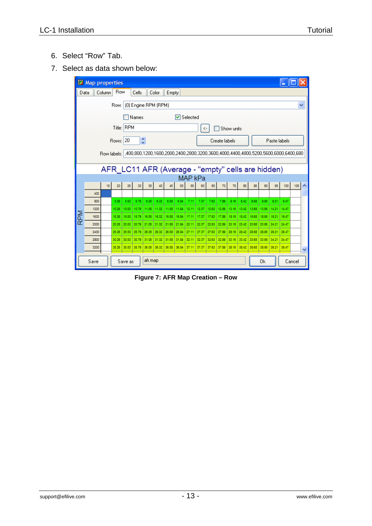- 6. Select "Row" Tab.
- 7. Select as data shown below:



**Figure 7: AFR Map Creation – Row**